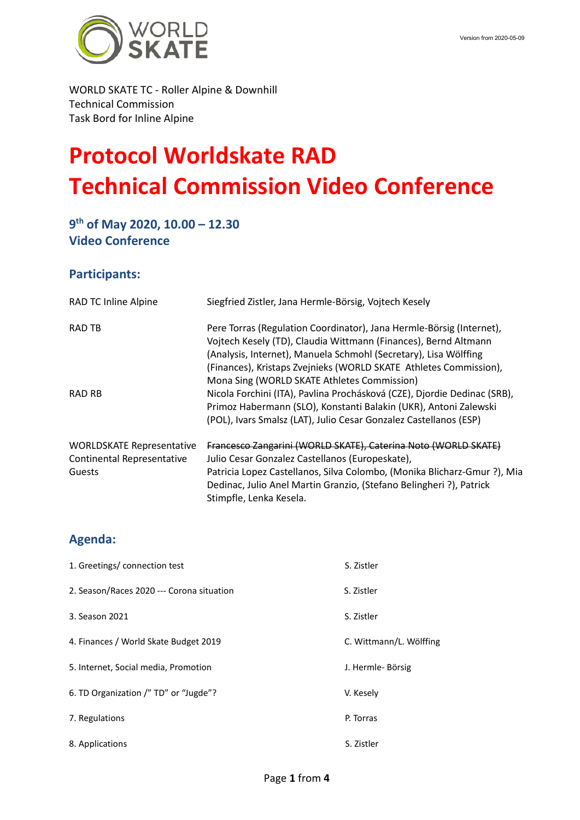

### WORLD SKATE TC - Roller Alpine & Downhill Technical Commission Task Bord for Inline Alpine

# **Protocol Worldskate RAD Technical Commission Video Conference**

# **9th of May 2020, 10.00 – 12.30 Video Conference**

## **Participants:**

| RAD TC Inline Alpine                                                            | Siegfried Zistler, Jana Hermle-Börsig, Vojtech Kesely                                                                                                                                                                                                                                                                           |
|---------------------------------------------------------------------------------|---------------------------------------------------------------------------------------------------------------------------------------------------------------------------------------------------------------------------------------------------------------------------------------------------------------------------------|
| <b>RAD TB</b>                                                                   | Pere Torras (Regulation Coordinator), Jana Hermle-Börsig (Internet),<br>Vojtech Kesely (TD), Claudia Wittmann (Finances), Bernd Altmann<br>(Analysis, Internet), Manuela Schmohl (Secretary), Lisa Wölffing<br>(Finances), Kristaps Zvejnieks (WORLD SKATE Athletes Commission),<br>Mona Sing (WORLD SKATE Athletes Commission) |
| RAD RB                                                                          | Nicola Forchini (ITA), Pavlina Prochásková (CZE), Djordie Dedinac (SRB),<br>Primoz Habermann (SLO), Konstanti Balakin (UKR), Antoni Zalewski<br>(POL), Ivars Smalsz (LAT), Julio Cesar Gonzalez Castellanos (ESP)                                                                                                               |
| <b>WORLDSKATE Representative</b><br><b>Continental Representative</b><br>Guests | Francesco Zangarini (WORLD SKATE), Caterina Noto (WORLD SKATE)<br>Julio Cesar Gonzalez Castellanos (Europeskate),<br>Patricia Lopez Castellanos, Silva Colombo, (Monika Blicharz-Gmur?), Mia<br>Dedinac, Julio Anel Martin Granzio, (Stefano Belingheri ?), Patrick<br>Stimpfle, Lenka Kesela.                                  |

# **Agenda:**

| 1. Greetings/connection test              | S. Zistler              |
|-------------------------------------------|-------------------------|
| 2. Season/Races 2020 --- Corona situation | S. Zistler              |
| 3. Season 2021                            | S. Zistler              |
| 4. Finances / World Skate Budget 2019     | C. Wittmann/L. Wölffing |
| 5. Internet, Social media, Promotion      | J. Hermle- Börsig       |
| 6. TD Organization /" TD" or "Jugde"?     | V. Kesely               |
| 7. Regulations                            | P. Torras               |
| 8. Applications                           | S. Zistler              |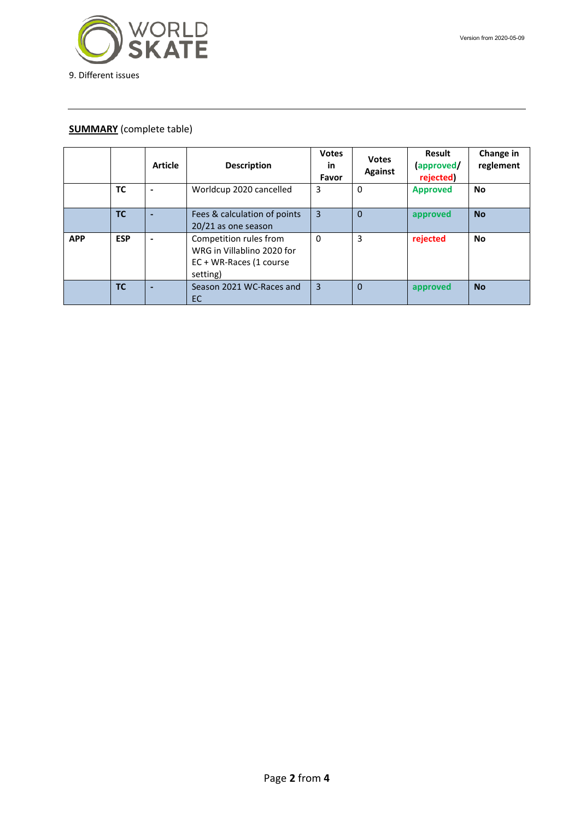

#### **SUMMARY** (complete table)

|            |            | <b>Article</b> | <b>Description</b>                                                                          | <b>Votes</b><br>in<br>Favor | <b>Votes</b><br><b>Against</b> | Result<br>(approved/<br>rejected) | Change in<br>reglement |
|------------|------------|----------------|---------------------------------------------------------------------------------------------|-----------------------------|--------------------------------|-----------------------------------|------------------------|
|            | <b>TC</b>  |                | Worldcup 2020 cancelled                                                                     | 3                           | 0                              | <b>Approved</b>                   | <b>No</b>              |
|            | <b>TC</b>  |                | Fees & calculation of points<br>20/21 as one season                                         | 3                           | $\Omega$                       | approved                          | <b>No</b>              |
| <b>APP</b> | <b>ESP</b> |                | Competition rules from<br>WRG in Villablino 2020 for<br>EC + WR-Races (1 course<br>setting) | $\mathbf 0$                 | 3                              | rejected                          | <b>No</b>              |
|            | <b>TC</b>  |                | Season 2021 WC-Races and<br>EC.                                                             | 3                           | $\Omega$                       | approved                          | <b>No</b>              |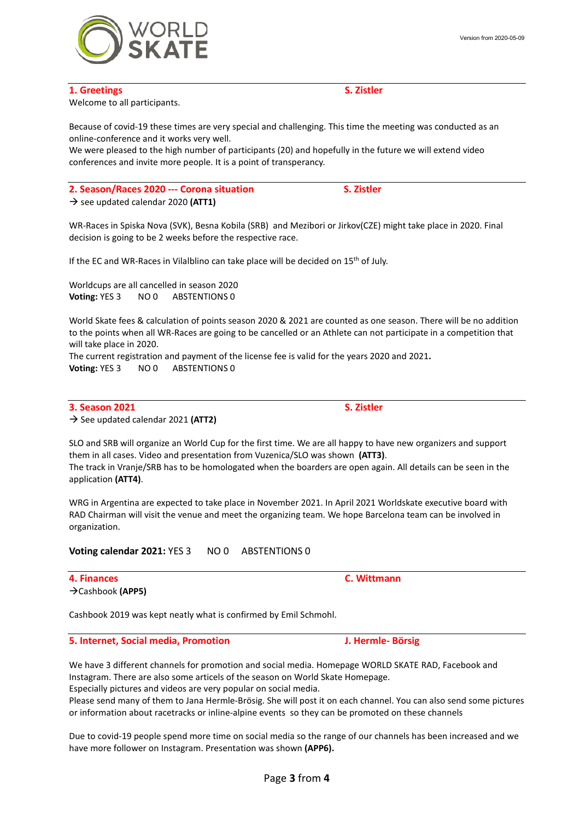Welcome to all participants.

Because of covid-19 these times are very special and challenging. This time the meeting was conducted as an online-conference and it works very well.

We were pleased to the high number of participants (20) and hopefully in the future we will extend video conferences and invite more people. It is a point of transperancy.

**2. Season/Races 2020 --- Corona situation S. Zistler**  $\rightarrow$  see updated calendar 2020 (ATT1)

WR-Races in Spiska Nova (SVK), Besna Kobila (SRB) and Mezibori or Jirkov(CZE) might take place in 2020. Final decision is going to be 2 weeks before the respective race.

If the EC and WR-Races in Vilalblino can take place will be decided on 15<sup>th</sup> of July.

Worldcups are all cancelled in season 2020 **Voting:** YES 3 NO 0 ABSTENTIONS 0

World Skate fees & calculation of points season 2020 & 2021 are counted as one season. There will be no addition to the points when all WR-Races are going to be cancelled or an Athlete can not participate in a competition that will take place in 2020.

The current registration and payment of the license fee is valid for the years 2020 and 2021**. Voting: YES 3 NO 0 ABSTENTIONS 0** 

**3. Season 2021 S. Zistler**  $\rightarrow$  See updated calendar 2021 (ATT2)

SLO and SRB will organize an World Cup for the first time. We are all happy to have new organizers and support them in all cases. Video and presentation from Vuzenica/SLO was shown **(ATT3)**. The track in Vranje/SRB has to be homologated when the boarders are open again. All details can be seen in the application **(ATT4)**.

WRG in Argentina are expected to take place in November 2021. In April 2021 Worldskate executive board with RAD Chairman will visit the venue and meet the organizing team. We hope Barcelona team can be involved in organization.

**Voting calendar 2021: YES 3 NO 0 ABSTENTIONS 0** 

**4. Finances C. Wittmann** Cashbook **(APP5)**

Cashbook 2019 was kept neatly what is confirmed by Emil Schmohl.

**5. Internet, Social media, Promotion J. Hermle- Börsig**

We have 3 different channels for promotion and social media. Homepage WORLD SKATE RAD, Facebook and Instagram. There are also some articels of the season on World Skate Homepage. Especially pictures and videos are very popular on social media.

Please send many of them to Jana Hermle-Brösig. She will post it on each channel. You can also send some pictures or information about racetracks or inline-alpine events so they can be promoted on these channels

Due to covid-19 people spend more time on social media so the range of our channels has been increased and we have more follower on Instagram. Presentation was shown **(APP6).**



**1. Greetings S. Zistler**